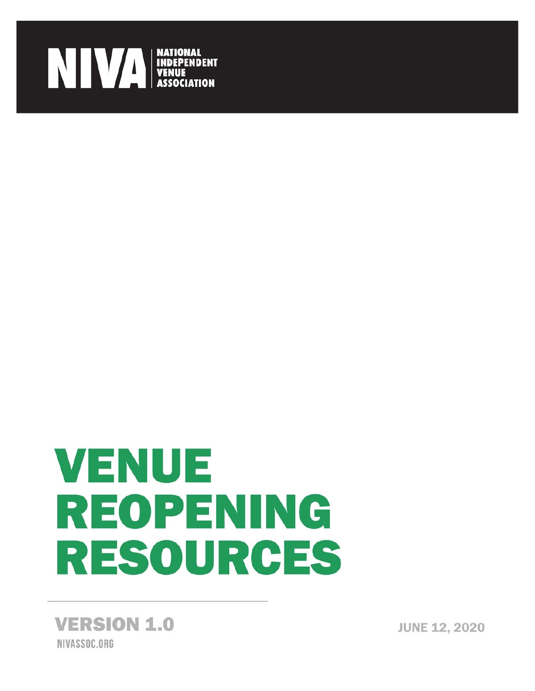

# **VENUE** REOPENING RESOURCES

#### **VERSION 1.0** NIVASSOC.ORG

**JUNE 12, 2020**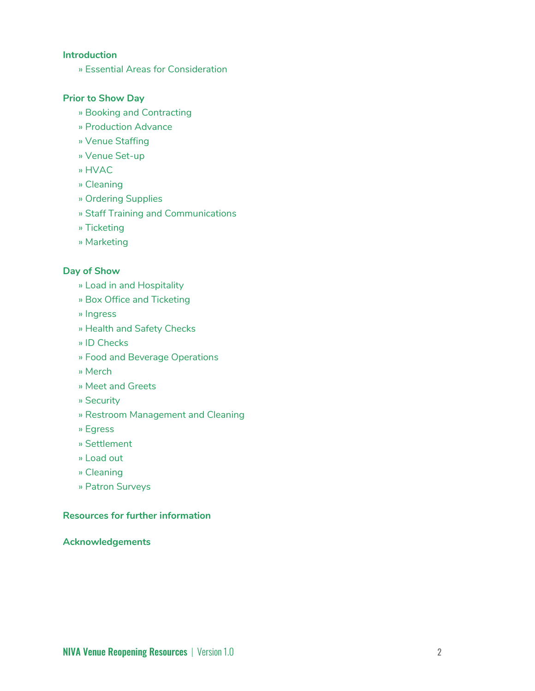#### **Introduction**

» Essential Areas for Consideration

#### **Prior to [Show](#page-3-0) Day**

- » Booking and [Contracting](#page-3-1)
- » [Production](#page-4-0) Advance
- » Venue Staffing
- » Venue [Set-up](#page-5-0)
- » [HVAC](#page-7-0)
- » [Cleaning](#page-7-1)
- » [Ordering](#page-8-0) Supplies
- » Staff Training and [Communications](#page-8-1)
- » [Ticketing](#page-9-0)
- » [Marketing](#page-10-0)

#### **Day of [Show](#page-11-0)**

- » Load in and [Hospitality](#page-11-1)
- » Box Office and [Ticketing](#page-12-0)
- » [Ingress](#page-12-1)
- » Health and Safety [Checks](#page-13-0)
- » ID [Checks](#page-14-0)
- » Food and Beverage [Operations](#page-15-0)
- » [Merch](#page-16-0)
- » Meet and [Greets](#page-17-0)
- » [Security](#page-17-1)
- » Restroom [Management](#page-18-0) and Cleaning
- » [Egress](#page-18-1)
- » [Settlement](#page-19-0)
- » [Load](#page-19-1) out
- » [Cleaning](#page-19-2)
- » Patron [Surveys](#page-20-0)

#### **Resources for further [information](#page-21-0)**

#### **Acknowledgements**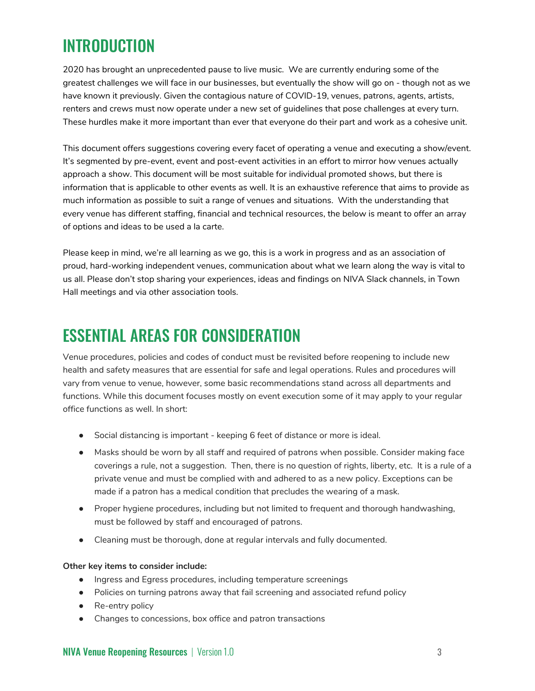## INTRODUCTION

2020 has brought an unprecedented pause to live music. We are currently enduring some of the greatest challenges we will face in our businesses, but eventually the show will go on - though not as we have known it previously. Given the contagious nature of COVID-19, venues, patrons, agents, artists, renters and crews must now operate under a new set of guidelines that pose challenges at every turn. These hurdles make it more important than ever that everyone do their part and work as a cohesive unit.

This document offers suggestions covering every facet of operating a venue and executing a show/event. It's segmented by pre-event, event and post-event activities in an effort to mirror how venues actually approach a show. This document will be most suitable for individual promoted shows, but there is information that is applicable to other events as well. It is an exhaustive reference that aims to provide as much information as possible to suit a range of venues and situations. With the understanding that every venue has different staffing, financial and technical resources, the below is meant to offer an array of options and ideas to be used a la carte.

Please keep in mind, we're all learning as we go, this is a work in progress and as an association of proud, hard-working independent venues, communication about what we learn along the way is vital to us all. Please don't stop sharing your experiences, ideas and findings on NIVA Slack channels, in Town Hall meetings and via other association tools.

## ESSENTIAL AREAS FOR CONSIDERATION

Venue procedures, policies and codes of conduct must be revisited before reopening to include new health and safety measures that are essential for safe and legal operations. Rules and procedures will vary from venue to venue, however, some basic recommendations stand across all departments and functions. While this document focuses mostly on event execution some of it may apply to your regular office functions as well. In short:

- Social distancing is important keeping 6 feet of distance or more is ideal.
- Masks should be worn by all staff and required of patrons when possible. Consider making face coverings a rule, not a suggestion. Then, there is no question of rights, liberty, etc. It is a rule of a private venue and must be complied with and adhered to as a new policy. Exceptions can be made if a patron has a medical condition that precludes the wearing of a mask.
- Proper hygiene procedures, including but not limited to frequent and thorough handwashing, must be followed by staff and encouraged of patrons.
- Cleaning must be thorough, done at regular intervals and fully documented.

#### **Other key items to consider include:**

- Ingress and Egress procedures, including temperature screenings
- Policies on turning patrons away that fail screening and associated refund policy
- Re-entry policy
- Changes to concessions, box office and patron transactions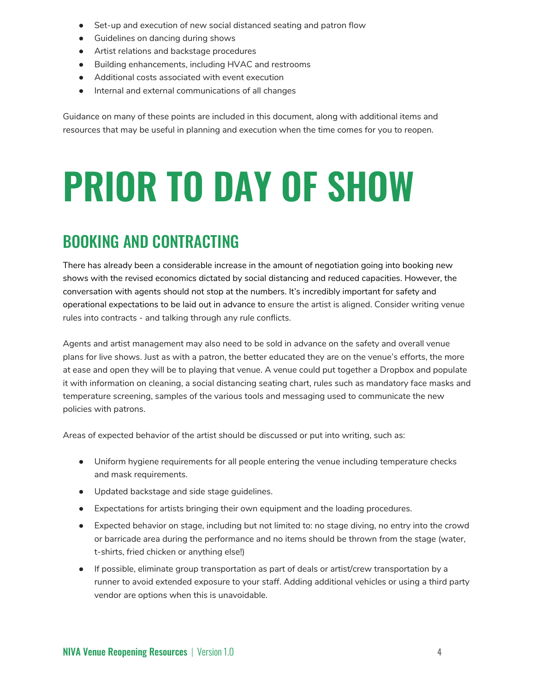- Set-up and execution of new social distanced seating and patron flow
- Guidelines on dancing during shows
- Artist relations and backstage procedures
- Building enhancements, including HVAC and restrooms
- Additional costs associated with event execution
- Internal and external communications of all changes

Guidance on many of these points are included in this document, along with additional items and resources that may be useful in planning and execution when the time comes for you to reopen.

# <span id="page-3-0"></span>**PRIOR TO DAY OF SHOW**

## <span id="page-3-1"></span>BOOKING AND CONTRACTING

There has already been a considerable increase in the amount of negotiation going into booking new shows with the revised economics dictated by social distancing and reduced capacities. However, the conversation with agents should not stop at the numbers. It's incredibly important for safety and operational expectations to be laid out in advance to ensure the artist is aligned. Consider writing venue rules into contracts - and talking through any rule conflicts.

Agents and artist management may also need to be sold in advance on the safety and overall venue plans for live shows. Just as with a patron, the better educated they are on the venue's efforts, the more at ease and open they will be to playing that venue. A venue could put together a Dropbox and populate it with information on cleaning, a social distancing seating chart, rules such as mandatory face masks and temperature screening, samples of the various tools and messaging used to communicate the new policies with patrons.

Areas of expected behavior of the artist should be discussed or put into writing, such as:

- Uniform hygiene requirements for all people entering the venue including temperature checks and mask requirements.
- Updated backstage and side stage guidelines.
- Expectations for artists bringing their own equipment and the loading procedures.
- Expected behavior on stage, including but not limited to: no stage diving, no entry into the crowd or barricade area during the performance and no items should be thrown from the stage (water, t-shirts, fried chicken or anything else!)
- If possible, eliminate group transportation as part of deals or artist/crew transportation by a runner to avoid extended exposure to your staff. Adding additional vehicles or using a third party vendor are options when this is unavoidable.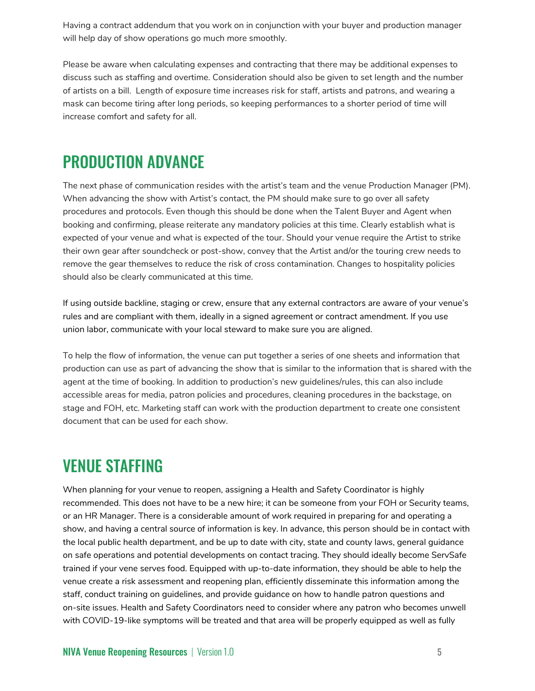Having a contract addendum that you work on in conjunction with your buyer and production manager will help day of show operations go much more smoothly.

Please be aware when calculating expenses and contracting that there may be additional expenses to discuss such as staffing and overtime. Consideration should also be given to set length and the number of artists on a bill. Length of exposure time increases risk for staff, artists and patrons, and wearing a mask can become tiring after long periods, so keeping performances to a shorter period of time will increase comfort and safety for all.

#### <span id="page-4-0"></span>PRODUCTION ADVANCE

The next phase of communication resides with the artist's team and the venue Production Manager (PM). When advancing the show with Artist's contact, the PM should make sure to go over all safety procedures and protocols. Even though this should be done when the Talent Buyer and Agent when booking and confirming, please reiterate any mandatory policies at this time. Clearly establish what is expected of your venue and what is expected of the tour. Should your venue require the Artist to strike their own gear after soundcheck or post-show, convey that the Artist and/or the touring crew needs to remove the gear themselves to reduce the risk of cross contamination. Changes to hospitality policies should also be clearly communicated at this time.

If using outside backline, staging or crew, ensure that any external contractors are aware of your venue's rules and are compliant with them, ideally in a signed agreement or contract amendment. If you use union labor, communicate with your local steward to make sure you are aligned.

To help the flow of information, the venue can put together a series of one sheets and information that production can use as part of advancing the show that is similar to the information that is shared with the agent at the time of booking. In addition to production's new guidelines/rules, this can also include accessible areas for media, patron policies and procedures, cleaning procedures in the backstage, on stage and FOH, etc. Marketing staff can work with the production department to create one consistent document that can be used for each show.

## VENUE STAFFING

When planning for your venue to reopen, assigning a Health and Safety Coordinator is highly recommended. This does not have to be a new hire; it can be someone from your FOH or Security teams, or an HR Manager. There is a considerable amount of work required in preparing for and operating a show, and having a central source of information is key. In advance, this person should be in contact with the local public health department, and be up to date with city, state and county laws, general guidance on safe operations and potential developments on contact tracing. They should ideally become ServSafe trained if your vene serves food. Equipped with up-to-date information, they should be able to help the venue create a risk assessment and reopening plan, efficiently disseminate this information among the staff, conduct training on guidelines, and provide guidance on how to handle patron questions and on-site issues. Health and Safety Coordinators need to consider where any patron who becomes unwell with COVID-19-like symptoms will be treated and that area will be properly equipped as well as fully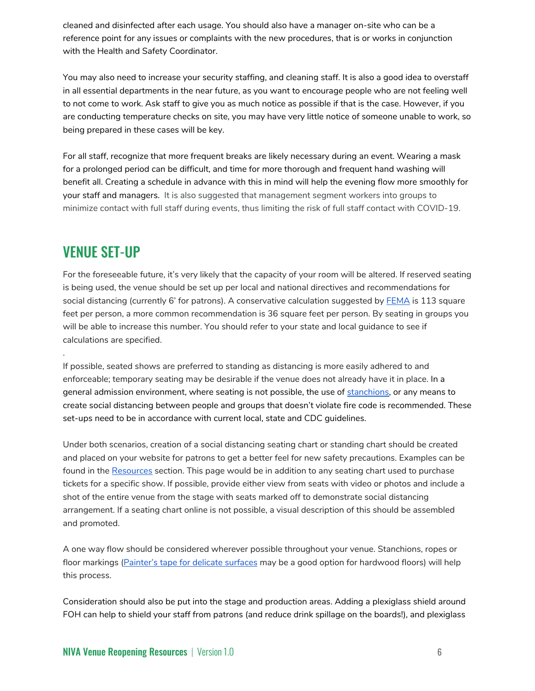cleaned and disinfected after each usage. You should also have a manager on-site who can be a reference point for any issues or complaints with the new procedures, that is or works in conjunction with the Health and Safety Coordinator.

You may also need to increase your security staffing, and cleaning staff. It is also a good idea to overstaff in all essential departments in the near future, as you want to encourage people who are not feeling well to not come to work. Ask staff to give you as much notice as possible if that is the case. However, if you are conducting temperature checks on site, you may have very little notice of someone unable to work, so being prepared in these cases will be key.

For all staff, recognize that more frequent breaks are likely necessary during an event. Wearing a mask for a prolonged period can be difficult, and time for more thorough and frequent hand washing will benefit all. Creating a schedule in advance with this in mind will help the evening flow more smoothly for your staff and managers. It is also suggested that management segment workers into groups to minimize contact with full staff during events, thus limiting the risk of full staff contact with COVID-19.

#### <span id="page-5-0"></span>VENUE SET-UP

.

For the foreseeable future, it's very likely that the capacity of your room will be altered. If reserved seating is being used, the venue should be set up per local and national directives and recommendations for social distancing (currently 6' for patrons). A conservative calculation suggested by [FEMA](https://www.usfa.fema.gov/coronavirus/planning_response/occupancy_social_distancing.html) is 113 square feet per person, a more common recommendation is 36 square feet per person. By seating in groups you will be able to increase this number. You should refer to your state and local guidance to see if calculations are specified.

If possible, seated shows are preferred to standing as distancing is more easily adhered to and enforceable; temporary seating may be desirable if the venue does not already have it in place. In a general admission environment, where seating is not possible, the use of [stanchions,](https://www.crowdcontrolstore.com/) or any means to create social distancing between people and groups that doesn't violate fire code is recommended. These set-ups need to be in accordance with current local, state and CDC guidelines.

Under both scenarios, creation of a social distancing seating chart or standing chart should be created and placed on your website for patrons to get a better feel for new safety precautions. Examples can be found in the [Resources](#page-21-0) section. This page would be in addition to any seating chart used to purchase tickets for a specific show. If possible, provide either view from seats with video or photos and include a shot of the entire venue from the stage with seats marked off to demonstrate social distancing arrangement. If a seating chart online is not possible, a visual description of this should be assembled and promoted.

A one way flow should be considered wherever possible throughout your venue. Stanchions, ropes or floor markings ([Painter's](https://tapeuniversity.com/industry/paint-industry/can-i-apply-painters-tape-to-wood-flooring/) tape for delicate surfaces may be a good option for hardwood floors) will help this process.

Consideration should also be put into the stage and production areas. Adding a plexiglass shield around FOH can help to shield your staff from patrons (and reduce drink spillage on the boards!), and plexiglass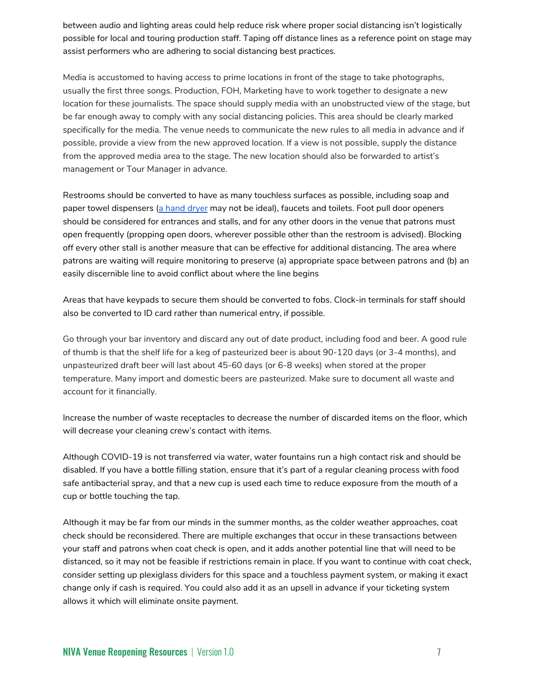between audio and lighting areas could help reduce risk where proper social distancing isn't logistically possible for local and touring production staff. Taping off distance lines as a reference point on stage may assist performers who are adhering to social distancing best practices.

Media is accustomed to having access to prime locations in front of the stage to take photographs, usually the first three songs. Production, FOH, Marketing have to work together to designate a new location for these journalists. The space should supply media with an unobstructed view of the stage, but be far enough away to comply with any social distancing policies. This area should be clearly marked specifically for the media. The venue needs to communicate the new rules to all media in advance and if possible, provide a view from the new approved location. If a view is not possible, supply the distance from the approved media area to the stage. The new location should also be forwarded to artist's management or Tour Manager in advance.

Restrooms should be converted to have as many touchless surfaces as possible, including soap and paper towel dispensers (a hand [dryer](https://www.wired.com/story/wash-your-hands-but-beware-the-electric-hand-dryer/) may not be ideal), faucets and toilets. Foot pull door openers should be considered for entrances and stalls, and for any other doors in the venue that patrons must open frequently (propping open doors, wherever possible other than the restroom is advised). Blocking off every other stall is another measure that can be effective for additional distancing. The area where patrons are waiting will require monitoring to preserve (a) appropriate space between patrons and (b) an easily discernible line to avoid conflict about where the line begins

Areas that have keypads to secure them should be converted to fobs. Clock-in terminals for staff should also be converted to ID card rather than numerical entry, if possible.

Go through your bar inventory and discard any out of date product, including food and beer. A good rule of thumb is that the shelf life for a keg of pasteurized beer is about 90-120 days (or 3-4 months), and unpasteurized draft beer will last about 45-60 days (or 6-8 weeks) when stored at the proper temperature. Many import and domestic beers are pasteurized. Make sure to document all waste and account for it financially.

Increase the number of waste receptacles to decrease the number of discarded items on the floor, which will decrease your cleaning crew's contact with items.

Although COVID-19 is not transferred via water, water fountains run a high contact risk and should be disabled. If you have a bottle filling station, ensure that it's part of a regular cleaning process with food safe antibacterial spray, and that a new cup is used each time to reduce exposure from the mouth of a cup or bottle touching the tap.

Although it may be far from our minds in the summer months, as the colder weather approaches, coat check should be reconsidered. There are multiple exchanges that occur in these transactions between your staff and patrons when coat check is open, and it adds another potential line that will need to be distanced, so it may not be feasible if restrictions remain in place. If you want to continue with coat check, consider setting up plexiglass dividers for this space and a touchless payment system, or making it exact change only if cash is required. You could also add it as an upsell in advance if your ticketing system allows it which will eliminate onsite payment.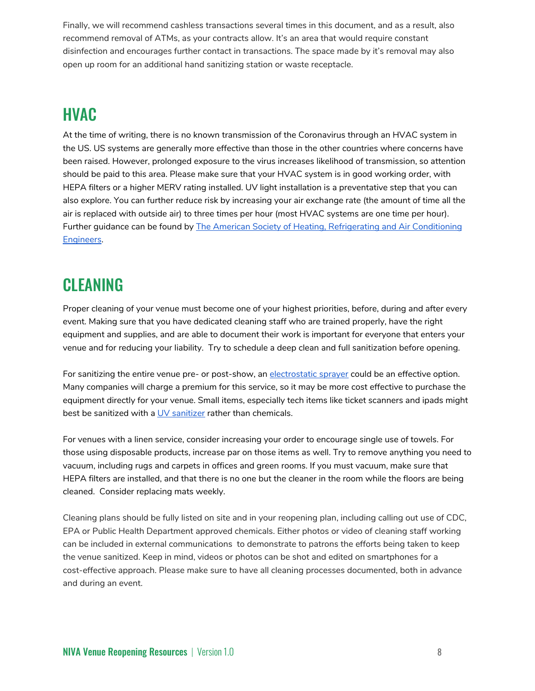Finally, we will recommend cashless transactions several times in this document, and as a result, also recommend removal of ATMs, as your contracts allow. It's an area that would require constant disinfection and encourages further contact in transactions. The space made by it's removal may also open up room for an additional hand sanitizing station or waste receptacle.

## <span id="page-7-0"></span>HVAC

At the time of writing, there is no known transmission of the Coronavirus through an HVAC system in the US. US systems are generally more effective than those in the other countries where concerns have been raised. However, prolonged exposure to the virus increases likelihood of transmission, so attention should be paid to this area. Please make sure that your HVAC system is in good working order, with HEPA filters or a higher MERV rating installed. UV light installation is a preventative step that you can also explore. You can further reduce risk by increasing your air exchange rate (the amount of time all the air is replaced with outside air) to three times per hour (most HVAC systems are one time per hour). Further guidance can be found by **The American Society of Heating, [Refrigerating](https://www.ashrae.org/technical-resources/resources) and Air Conditioning** [Engineers](https://www.ashrae.org/technical-resources/resources).

## <span id="page-7-1"></span>CLEANING

Proper cleaning of your venue must become one of your highest priorities, before, during and after every event. Making sure that you have dedicated cleaning staff who are trained properly, have the right equipment and supplies, and are able to document their work is important for everyone that enters your venue and for reducing your liability. Try to schedule a deep clean and full sanitization before opening.

For sanitizing the entire venue pre- or post-show, an [electrostatic](https://victorycomplete.com/) sprayer could be an effective option. Many companies will charge a premium for this service, so it may be more cost effective to purchase the equipment directly for your venue. Small items, especially tech items like ticket scanners and ipads might best be sanitized with a UV [sanitizer](https://www.today.com/shop/12-uv-sanitizers-you-need-your-life-t178034) rather than chemicals.

For venues with a linen service, consider increasing your order to encourage single use of towels. For those using disposable products, increase par on those items as well. Try to remove anything you need to vacuum, including rugs and carpets in offices and green rooms. If you must vacuum, make sure that HEPA filters are installed, and that there is no one but the cleaner in the room while the floors are being cleaned. Consider replacing mats weekly.

Cleaning plans should be fully listed on site and in your reopening plan, including calling out use of CDC, EPA or Public Health Department approved chemicals. Either photos or video of cleaning staff working can be included in external communications to demonstrate to patrons the efforts being taken to keep the venue sanitized. Keep in mind, videos or photos can be shot and edited on smartphones for a cost-effective approach. Please make sure to have all cleaning processes documented, both in advance and during an event.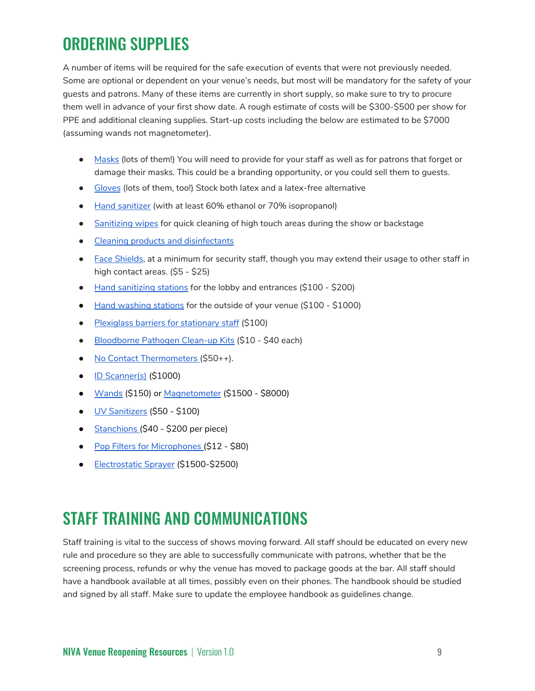## <span id="page-8-0"></span>ORDERING SUPPLIES

A number of items will be required for the safe execution of events that were not previously needed. Some are optional or dependent on your venue's needs, but most will be mandatory for the safety of your guests and patrons. Many of these items are currently in short supply, so make sure to try to procure them well in advance of your first show date. A rough estimate of costs will be \$300-\$500 per show for PPE and additional cleaning supplies. Start-up costs including the below are estimated to be \$7000 (assuming wands not magnetometer).

- [Masks](https://www.fda.gov/medical-devices/personal-protective-equipment-infection-control/n95-respirators-surgical-masks-and-face-masks) (lots of them!) You will need to provide for your staff as well as for patrons that forget or damage their masks. This could be a branding opportunity, or you could sell them to guests.
- [Gloves](https://www.amazon.com/latex-free-gloves/s?k=latex+free+gloves) (lots of them, too!) Stock both latex and a latex-free alternative
- Hand [sanitizer](https://www.cdc.gov/coronavirus/2019-ncov/hcp/hand-hygiene.html) (with at least 60% ethanol or 70% isopropanol)
- [Sanitizing](https://www.sahealth.sa.gov.au/wps/wcm/connect/1f1463c1-03c0-4682-beab-49f3c9382b65/2017+The+selection+and+use+of+disinfectant+wipes+RCN+guidance.pdf?MOD=AJPERES&CACHEID=ROOTWORKSPACE-1f1463c1-03c0-4682-beab-49f3c9382b65-mPg.zON) wipes for quick cleaning of high touch areas during the show or backstage
- Cleaning products and [disinfectants](https://www.epa.gov/pesticide-registration/list-n-disinfectants-use-against-sars-cov-2)
- Face [Shields,](https://www.genesisdefendershield.com/) at a minimum for security staff, though you may extend their usage to other staff in high contact areas. (\$5 - \$25)
- Hand [sanitizing](https://www.jesrestaurantequipment.com/antunes-7002181.html?gclid=EAIaIQobChMIw8WdjLb26QIVkcDACh3FeA35EAQYBCABEgJnn_D_BwE) stations for the lobby and entrances (\$100 \$200)
- Hand [washing](https://www.amazon.com/slp/portable-handwashing-station/jpvajvvjbooh5p7) stations for the outside of your venue (\$100 \$1000)
- [Plexiglass](https://www.clearsonic.com/collections/germ-shields) barriers for stationary staff (\$100)
- [Bloodborne](https://www.grainger.com/category/safety/first-aid-and-wound-care/general-first-aid-kits/bloodborne-pathogen-kits) Pathogen Clean-up Kits (\$10 \$40 each)
- No Contact [Thermometers](https://fsastore.com/Braun-No-Touch-Forehead-Thermometer-P24143.aspx?utm_medium=LinkShare&utm_source=7m8EnekPF5E&utm_campaign=657123&utm_content=1&utm_term=AwEAAAAAAAAAARRE&ranMID=38690&ranEAID=7m8EnekPF5E&ranSiteID=7m8EnekPF5E-bEoevn.F_KM2mx1Q3p3xcQ&siteID=7m8EnekPF5E-bEoevn.F_KM2mx1Q3p3xcQ&LSNSUBSITE=Omitted_7m8EnekPF5E) (\$50++).
- ID [Scanner\(s\)](https://crownsecurityproducts.com/id-e-02-age-verification-with-barcode.html) (\$1000)
- [Wands](https://crownsecurityproducts.com/id-e-02-age-verification-with-barcode.html) (\$150) or [Magnetometer](https://www.dhs.gov/sites/default/files/publications/WTMD-MSR_0614-508.pdf) (\$1500 \$8000)
- UV [Sanitizers](https://www.today.com/shop/12-uv-sanitizers-you-need-your-life-t178034) (\$50 \$100)
- [Stanchions](https://www.crowdcontrolstore.com/) (\$40 \$200 per piece)
- Pop Filters for [Microphones](https://www.sweetwater.com/store/detail/ROKITPOP--gator-rok-it-pop-filter?mrkgadid=3341927321&mrkgcl=28&mrkgen=gpla&mrkgbflag=0&mrkgcat=studio&recording=&acctid=21700000001645388&dskeywordid=92700046934908766&lid=92700046934908766&ds_s_kwgid=58700005285215127&ds_s_inventory_feed_id=97700000007215323&dsproductgroupid=742595110702&product_id=ROKITPOP&prodctry=US&prodlang=en&channel=online&storeid=&device=c&network=g&matchtype=&locationid=9028896&creative=353564234315&targetid=pla-742595110702&campaignid=2005216453&gclid=EAIaIQobChMI7dOH7Lb26QIVg8DACh1jBAoNEAQYASABEgLdMPD_BwE&gclsrc=aw.ds) (\$12 \$80)
- [Electrostatic](https://victorycomplete.com/) Sprayer (\$1500-\$2500)

## <span id="page-8-1"></span>STAFF TRAINING AND COMMUNICATIONS

Staff training is vital to the success of shows moving forward. All staff should be educated on every new rule and procedure so they are able to successfully communicate with patrons, whether that be the screening process, refunds or why the venue has moved to package goods at the bar. All staff should have a handbook available at all times, possibly even on their phones. The handbook should be studied and signed by all staff. Make sure to update the employee handbook as guidelines change.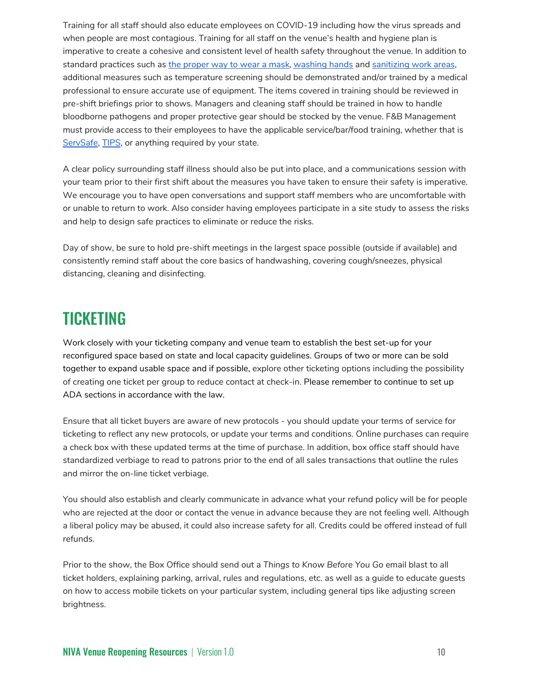Training for all staff should also educate employees on COVID-19 including how the virus spreads and when people are most contagious. Training for all staff on the venue's health and hygiene plan is imperative to create a cohesive and consistent level of health safety throughout the venue. In addition to standard practices such as the [proper](https://www.cdc.gov/coronavirus/2019-ncov/prevent-getting-sick/how-to-wear-cloth-face-coverings.html) way to wear a mask, [washing](https://www.cdc.gov/handwashing/when-how-handwashing.html) hands and [sanitizing](https://www.cdc.gov/coronavirus/2019-ncov/community/disinfecting-building-facility.html) work areas, additional measures such as temperature screening should be demonstrated and/or trained by a medical professional to ensure accurate use of equipment. The items covered in training should be reviewed in pre-shift briefings prior to shows. Managers and cleaning staff should be trained in how to handle bloodborne pathogens and proper protective gear should be stocked by the venue. F&B Management must provide access to their employees to have the applicable service/bar/food training, whether that is [ServSafe](https://www.servsafe.com/), [TIPS](https://www.gettips.com/), or anything required by your state.

A clear policy surrounding staff illness should also be put into place, and a communications session with your team prior to their first shift about the measures you have taken to ensure their safety is imperative. We encourage you to have open conversations and support staff members who are uncomfortable with or unable to return to work. Also consider having employees participate in a site study to assess the risks and help to design safe practices to eliminate or reduce the risks.

Day of show, be sure to hold pre-shift meetings in the largest space possible (outside if available) and consistently remind staff about the core basics of handwashing, covering cough/sneezes, physical distancing, cleaning and disinfecting.

#### <span id="page-9-0"></span>**TICKETING**

Work closely with your ticketing company and venue team to establish the best set-up for your reconfigured space based on state and local capacity guidelines. Groups of two or more can be sold together to expand usable space and if possible, explore other ticketing options including the possibility of creating one ticket per group to reduce contact at check-in. Please remember to continue to set up ADA sections in accordance with the law.

Ensure that all ticket buyers are aware of new protocols - you should update your terms of service for ticketing to reflect any new protocols, or update your terms and conditions. Online purchases can require a check box with these updated terms at the time of purchase. In addition, box office staff should have standardized verbiage to read to patrons prior to the end of all sales transactions that outline the rules and mirror the on-line ticket verbiage.

You should also establish and clearly communicate in advance what your refund policy will be for people who are rejected at the door or contact the venue in advance because they are not feeling well. Although a liberal policy may be abused, it could also increase safety for all. Credits could be offered instead of full refunds.

Prior to the show, the Box Office should send out a *Things to Know Before You Go* email blast to all ticket holders, explaining parking, arrival, rules and regulations, etc. as well as a guide to educate guests on how to access mobile tickets on your particular system, including general tips like adjusting screen brightness.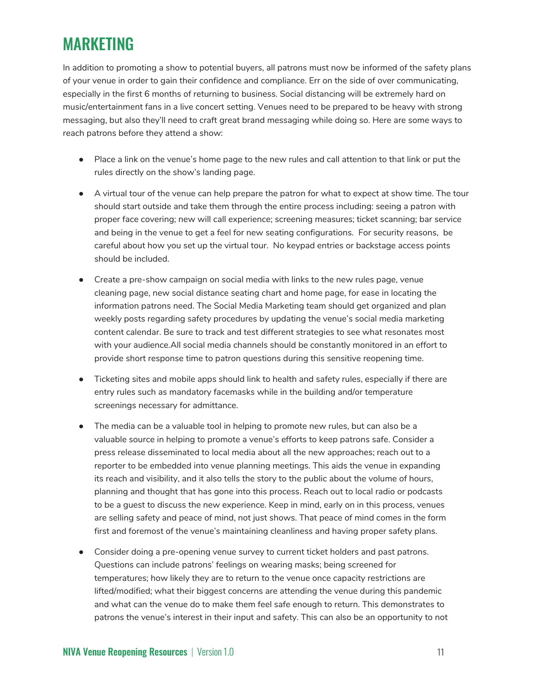## <span id="page-10-0"></span>MARKETING

In addition to promoting a show to potential buyers, all patrons must now be informed of the safety plans of your venue in order to gain their confidence and compliance. Err on the side of over communicating, especially in the first 6 months of returning to business. Social distancing will be extremely hard on music/entertainment fans in a live concert setting. Venues need to be prepared to be heavy with strong messaging, but also they'll need to craft great brand messaging while doing so. Here are some ways to reach patrons before they attend a show:

- Place a link on the venue's home page to the new rules and call attention to that link or put the rules directly on the show's landing page.
- A virtual tour of the venue can help prepare the patron for what to expect at show time. The tour should start outside and take them through the entire process including: seeing a patron with proper face covering; new will call experience; screening measures; ticket scanning; bar service and being in the venue to get a feel for new seating configurations. For security reasons, be careful about how you set up the virtual tour. No keypad entries or backstage access points should be included.
- Create a pre-show campaign on social media with links to the new rules page, venue cleaning page, new social distance seating chart and home page, for ease in locating the information patrons need. The Social Media Marketing team should get organized and plan weekly posts regarding safety procedures by updating the venue's social media marketing content calendar. Be sure to track and test different strategies to see what resonates most with your audience.All social media channels should be constantly monitored in an effort to provide short response time to patron questions during this sensitive reopening time.
- Ticketing sites and mobile apps should link to health and safety rules, especially if there are entry rules such as mandatory facemasks while in the building and/or temperature screenings necessary for admittance.
- The media can be a valuable tool in helping to promote new rules, but can also be a valuable source in helping to promote a venue's efforts to keep patrons safe. Consider a press release disseminated to local media about all the new approaches; reach out to a reporter to be embedded into venue planning meetings. This aids the venue in expanding its reach and visibility, and it also tells the story to the public about the volume of hours, planning and thought that has gone into this process. Reach out to local radio or podcasts to be a guest to discuss the new experience. Keep in mind, early on in this process, venues are selling safety and peace of mind, not just shows. That peace of mind comes in the form first and foremost of the venue's maintaining cleanliness and having proper safety plans.
- Consider doing a pre-opening venue survey to current ticket holders and past patrons. Questions can include patrons' feelings on wearing masks; being screened for temperatures; how likely they are to return to the venue once capacity restrictions are lifted/modified; what their biggest concerns are attending the venue during this pandemic and what can the venue do to make them feel safe enough to return. This demonstrates to patrons the venue's interest in their input and safety. This can also be an opportunity to not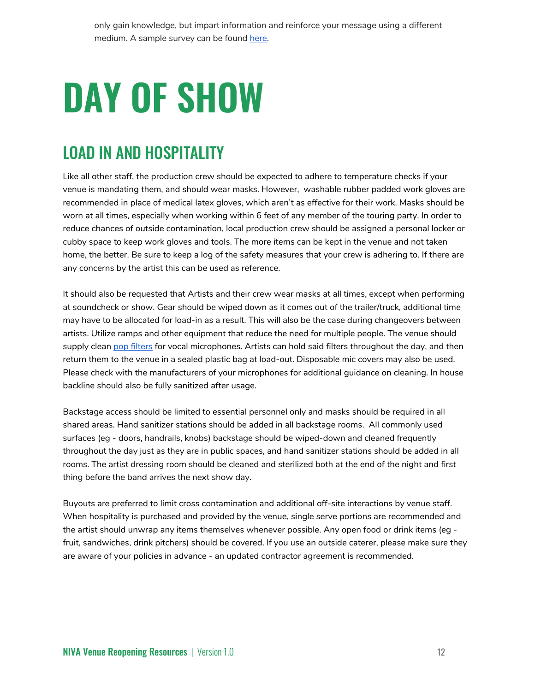# <span id="page-11-0"></span>**DAY OF SHOW**

# <span id="page-11-1"></span>LOAD IN AND HOSPITALITY

Like all other staff, the production crew should be expected to adhere to temperature checks if your venue is mandating them, and should wear masks. However, washable rubber padded work gloves are recommended in place of medical latex gloves, which aren't as effective for their work. Masks should be worn at all times, especially when working within 6 feet of any member of the touring party. In order to reduce chances of outside contamination, local production crew should be assigned a personal locker or cubby space to keep work gloves and tools. The more items can be kept in the venue and not taken home, the better. Be sure to keep a log of the safety measures that your crew is adhering to. If there are any concerns by the artist this can be used as reference.

It should also be requested that Artists and their crew wear masks at all times, except when performing at soundcheck or show. Gear should be wiped down as it comes out of the trailer/truck, additional time may have to be allocated for load-in as a result. This will also be the case during changeovers between artists. Utilize ramps and other equipment that reduce the need for multiple people. The venue should supply clean pop [filters](https://www.sweetwater.com/store/detail/ROKITPOP--gator-rok-it-pop-filter?mrkgadid=3341927321&mrkgcl=28&mrkgen=gpla&mrkgbflag=0&mrkgcat=studio&recording=&acctid=21700000001645388&dskeywordid=92700046934908766&lid=92700046934908766&ds_s_kwgid=58700005285215127&ds_s_inventory_feed_id=97700000007215323&dsproductgroupid=742595110702&product_id=ROKITPOP&prodctry=US&prodlang=en&channel=online&storeid=&device=c&network=g&matchtype=&locationid=9028896&creative=353564234315&targetid=pla-742595110702&campaignid=2005216453&gclid=EAIaIQobChMI7dOH7Lb26QIVg8DACh1jBAoNEAQYASABEgLdMPD_BwE&gclsrc=aw.ds) for vocal microphones. Artists can hold said filters throughout the day, and then return them to the venue in a sealed plastic bag at load-out. Disposable mic covers may also be used. Please check with the manufacturers of your microphones for additional guidance on cleaning. In house backline should also be fully sanitized after usage.

Backstage access should be limited to essential personnel only and masks should be required in all shared areas. Hand sanitizer stations should be added in all backstage rooms. All commonly used surfaces (eg - doors, handrails, knobs) backstage should be wiped-down and cleaned frequently throughout the day just as they are in public spaces, and hand sanitizer stations should be added in all rooms. The artist dressing room should be cleaned and sterilized both at the end of the night and first thing before the band arrives the next show day.

Buyouts are preferred to limit cross contamination and additional off-site interactions by venue staff. When hospitality is purchased and provided by the venue, single serve portions are recommended and the artist should unwrap any items themselves whenever possible. Any open food or drink items (eg fruit, sandwiches, drink pitchers) should be covered. If you use an outside caterer, please make sure they are aware of your policies in advance - an updated contractor agreement is recommended.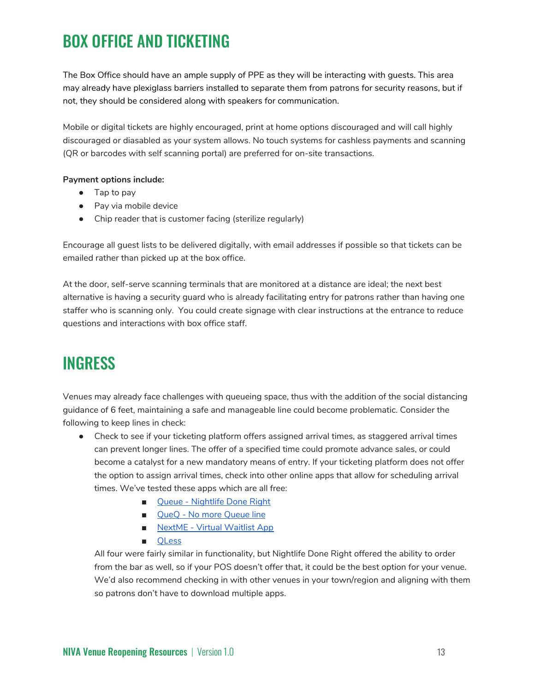## <span id="page-12-0"></span>BOX OFFICE AND TICKETING

The Box Office should have an ample supply of PPE as they will be interacting with guests. This area may already have plexiglass barriers installed to separate them from patrons for security reasons, but if not, they should be considered along with speakers for communication.

Mobile or digital tickets are highly encouraged, print at home options discouraged and will call highly discouraged or diasabled as your system allows. No touch systems for cashless payments and scanning (QR or barcodes with self scanning portal) are preferred for on-site transactions.

#### **Payment options include:**

- Tap to pay
- Pay via mobile device
- Chip reader that is customer facing (sterilize regularly)

Encourage all guest lists to be delivered digitally, with email addresses if possible so that tickets can be emailed rather than picked up at the box office.

At the door, self-serve scanning terminals that are monitored at a distance are ideal; the next best alternative is having a security guard who is already facilitating entry for patrons rather than having one staffer who is scanning only. You could create signage with clear instructions at the entrance to reduce questions and interactions with box office staff.

## <span id="page-12-1"></span>INGRESS

Venues may already face challenges with queueing space, thus with the addition of the social distancing guidance of 6 feet, maintaining a safe and manageable line could become problematic. Consider the following to keep lines in check:

- Check to see if your ticketing platform offers assigned arrival times, as staggered arrival times can prevent longer lines. The offer of a specified time could promote advance sales, or could become a catalyst for a new mandatory means of entry. If your ticketing platform does not offer the option to assign arrival times, check into other online apps that allow for scheduling arrival times. We've tested these apps which are all free:
	- Queue [Nightlife](https://apps.apple.com/us/app/queue-nightlife-done-right/id1168200652) Done Right
	- QueQ No more [Queue](https://apps.apple.com/us/app/queq-no-more-queue-line/id876343584) line
	- [NextME](https://apps.apple.com/us/app/nextme-virtual-waitlist-app/id935089985) Virtual Waitlist App
	- [QLess](https://apps.apple.com/us/app/qless/id1033286225)

All four were fairly similar in functionality, but Nightlife Done Right offered the ability to order from the bar as well, so if your POS doesn't offer that, it could be the best option for your venue. We'd also recommend checking in with other venues in your town/region and aligning with them so patrons don't have to download multiple apps.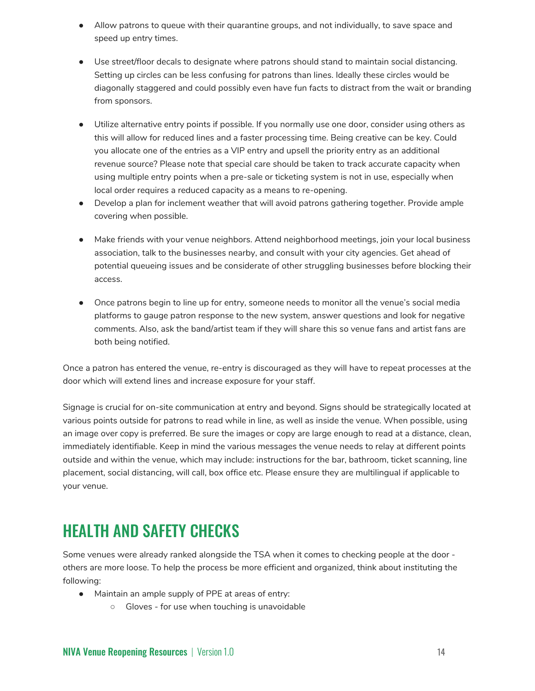- Allow patrons to queue with their quarantine groups, and not individually, to save space and speed up entry times.
- Use street/floor decals to designate where patrons should stand to maintain social distancing. Setting up circles can be less confusing for patrons than lines. Ideally these circles would be diagonally staggered and could possibly even have fun facts to distract from the wait or branding from sponsors.
- Utilize alternative entry points if possible. If you normally use one door, consider using others as this will allow for reduced lines and a faster processing time. Being creative can be key. Could you allocate one of the entries as a VIP entry and upsell the priority entry as an additional revenue source? Please note that special care should be taken to track accurate capacity when using multiple entry points when a pre-sale or ticketing system is not in use, especially when local order requires a reduced capacity as a means to re-opening.
- Develop a plan for inclement weather that will avoid patrons gathering together. Provide ample covering when possible.
- Make friends with your venue neighbors. Attend neighborhood meetings, join your local business association, talk to the businesses nearby, and consult with your city agencies. Get ahead of potential queueing issues and be considerate of other struggling businesses before blocking their access.
- Once patrons begin to line up for entry, someone needs to monitor all the venue's social media platforms to gauge patron response to the new system, answer questions and look for negative comments. Also, ask the band/artist team if they will share this so venue fans and artist fans are both being notified.

Once a patron has entered the venue, re-entry is discouraged as they will have to repeat processes at the door which will extend lines and increase exposure for your staff.

Signage is crucial for on-site communication at entry and beyond. Signs should be strategically located at various points outside for patrons to read while in line, as well as inside the venue. When possible, using an image over copy is preferred. Be sure the images or copy are large enough to read at a distance, clean, immediately identifiable. Keep in mind the various messages the venue needs to relay at different points outside and within the venue, which may include: instructions for the bar, bathroom, ticket scanning, line placement, social distancing, will call, box office etc. Please ensure they are multilingual if applicable to your venue.

## <span id="page-13-0"></span>HEALTH AND SAFETY CHECKS

Some venues were already ranked alongside the TSA when it comes to checking people at the door others are more loose. To help the process be more efficient and organized, think about instituting the following:

- Maintain an ample supply of PPE at areas of entry:
	- Gloves for use when touching is unavoidable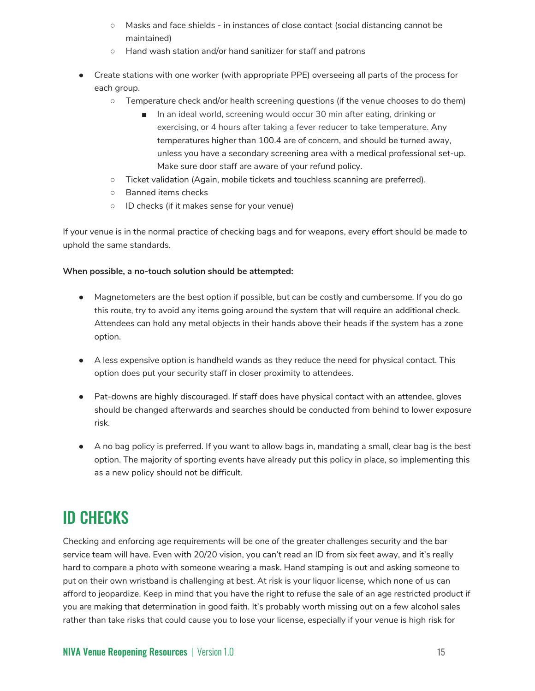- Masks and face shields in instances of close contact (social distancing cannot be maintained)
- Hand wash station and/or hand sanitizer for staff and patrons
- Create stations with one worker (with appropriate PPE) overseeing all parts of the process for each group.
	- Temperature check and/or health screening questions (if the venue chooses to do them)
		- In an ideal world, screening would occur 30 min after eating, drinking or exercising, or 4 hours after taking a fever reducer to take temperature. Any temperatures higher than 100.4 are of concern, and should be turned away, unless you have a secondary screening area with a medical professional set-up. Make sure door staff are aware of your refund policy.
	- Ticket validation (Again, mobile tickets and touchless scanning are preferred).
	- Banned items checks
	- ID checks (if it makes sense for your venue)

If your venue is in the normal practice of checking bags and for weapons, every effort should be made to uphold the same standards.

#### **When possible, a no-touch solution should be attempted:**

- Magnetometers are the best option if possible, but can be costly and cumbersome. If you do go this route, try to avoid any items going around the system that will require an additional check. Attendees can hold any metal objects in their hands above their heads if the system has a zone option.
- A less expensive option is handheld wands as they reduce the need for physical contact. This option does put your security staff in closer proximity to attendees.
- Pat-downs are highly discouraged. If staff does have physical contact with an attendee, gloves should be changed afterwards and searches should be conducted from behind to lower exposure risk.
- A no bag policy is preferred. If you want to allow bags in, mandating a small, clear bag is the best option. The majority of sporting events have already put this policy in place, so implementing this as a new policy should not be difficult.

## <span id="page-14-0"></span>ID CHECKS

Checking and enforcing age requirements will be one of the greater challenges security and the bar service team will have. Even with 20/20 vision, you can't read an ID from six feet away, and it's really hard to compare a photo with someone wearing a mask. Hand stamping is out and asking someone to put on their own wristband is challenging at best. At risk is your liquor license, which none of us can afford to jeopardize. Keep in mind that you have the right to refuse the sale of an age restricted product if you are making that determination in good faith. It's probably worth missing out on a few alcohol sales rather than take risks that could cause you to lose your license, especially if your venue is high risk for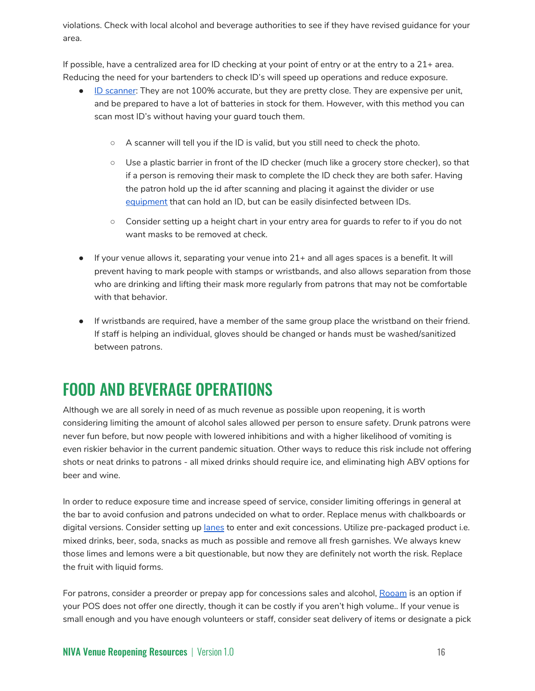violations. Check with local alcohol and beverage authorities to see if they have revised guidance for your area.

If possible, have a centralized area for ID checking at your point of entry or at the entry to a 21+ area. Reducing the need for your bartenders to check ID's will speed up operations and reduce exposure.

- ID [scanner](https://crownsecurityproducts.com/id-e-02-age-verification-with-barcode.html): They are not 100% accurate, but they are pretty close. They are expensive per unit, and be prepared to have a lot of batteries in stock for them. However, with this method you can scan most ID's without having your guard touch them.
	- A scanner will tell you if the ID is valid, but you still need to check the photo.
	- Use a plastic barrier in front of the ID checker (much like a grocery store checker), so that if a person is removing their mask to complete the ID check they are both safer. Having the patron hold up the id after scanning and placing it against the divider or use [equipment](https://www.amazon.com/Reacher-Foldable-Lightweight-Reaching-Extension/dp/B07P9651DR) that can hold an ID, but can be easily disinfected between IDs.
	- Consider setting up a height chart in your entry area for guards to refer to if you do not want masks to be removed at check.
- If your venue allows it, separating your venue into 21+ and all ages spaces is a benefit. It will prevent having to mark people with stamps or wristbands, and also allows separation from those who are drinking and lifting their mask more regularly from patrons that may not be comfortable with that behavior.
- If wristbands are required, have a member of the same group place the wristband on their friend. If staff is helping an individual, gloves should be changed or hands must be washed/sanitized between patrons.

## <span id="page-15-0"></span>FOOD AND BEVERAGE OPERATIONS

Although we are all sorely in need of as much revenue as possible upon reopening, it is worth considering limiting the amount of alcohol sales allowed per person to ensure safety. Drunk patrons were never fun before, but now people with lowered inhibitions and with a higher likelihood of vomiting is even riskier behavior in the current pandemic situation. Other ways to reduce this risk include not offering shots or neat drinks to patrons - all mixed drinks should require ice, and eliminating high ABV options for beer and wine.

In order to reduce exposure time and increase speed of service, consider limiting offerings in general at the bar to avoid confusion and patrons undecided on what to order. Replace menus with chalkboards or digital versions. Consider setting up [lanes](https://drive.google.com/file/d/1LvS3cOcwjxG7okDKGZjQDhiw-nfgrYu7/view) to enter and exit concessions. Utilize pre-packaged product i.e. mixed drinks, beer, soda, snacks as much as possible and remove all fresh garnishes. We always knew those limes and lemons were a bit questionable, but now they are definitely not worth the risk. Replace the fruit with liquid forms.

For patrons, consider a preorder or prepay app for concessions sales and alcohol, [Rooam](https://rooam.co/) is an option if your POS does not offer one directly, though it can be costly if you aren't high volume.. If your venue is small enough and you have enough volunteers or staff, consider seat delivery of items or designate a pick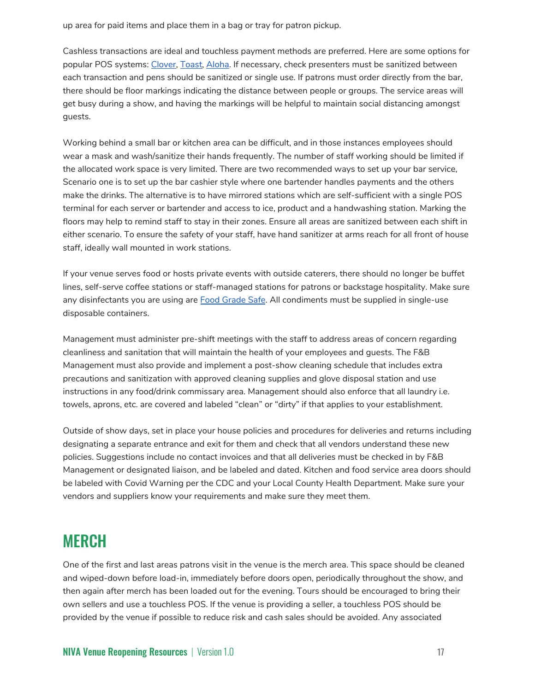up area for paid items and place them in a bag or tray for patron pickup.

Cashless transactions are ideal and touchless payment methods are preferred. Here are some options for popular POS systems: [Clover,](https://www.clover.com/pos-systems/accept-payments?utm_source=google&utm_medium=ppc&utm_campaign=Clovercom_PPC_2018&utm_placement=89766429241&utm_term=%2Bcontactless%20%2Bpayment&utm_content=404448567104&utm_adplacement=&utm_match=b&utm_device=c&utm_location=9007298&utm_target=kwd-894035202639&gclid=EAIaIQobChMIx8X6rufp6QIViJ-zCh1ZDgpeEAAYASAAEgL1HPD_BwE) [Toast,](https://pos.toasttab.com/hardware/contactless-payment) [Aloha](https://www.ncr.com/restaurants/mobile-pay/lp?utm_source=paid-sem&utm_medium=ad&utm_campaign=mobile-pay&utm_content=google-search&utm_industry=hospitality&gclid=EAIaIQobChMIx8X6rufp6QIViJ-zCh1ZDgpeEAAYAyAAEgLxgfD_BwE). If necessary, check presenters must be sanitized between each transaction and pens should be sanitized or single use. If patrons must order directly from the bar, there should be floor markings indicating the distance between people or groups. The service areas will get busy during a show, and having the markings will be helpful to maintain social distancing amongst guests.

Working behind a small bar or kitchen area can be difficult, and in those instances employees should wear a mask and wash/sanitize their hands frequently. The number of staff working should be limited if the allocated work space is very limited. There are two recommended ways to set up your bar service, Scenario one is to set up the bar cashier style where one bartender handles payments and the others make the drinks. The alternative is to have mirrored stations which are self-sufficient with a single POS terminal for each server or bartender and access to ice, product and a handwashing station. Marking the floors may help to remind staff to stay in their zones. Ensure all areas are sanitized between each shift in either scenario. To ensure the safety of your staff, have hand sanitizer at arms reach for all front of house staff, ideally wall mounted in work stations.

If your venue serves food or hosts private events with outside caterers, there should no longer be buffet lines, self-serve coffee stations or staff-managed stations for patrons or backstage hospitality. Make sure any disinfectants you are using are **Food [Grade](https://www.ams.usda.gov/sites/default/files/media/8%20Cleaners%20and%20Sanitizers%20FINAL%20RGK%20V2.pdf) Safe. All condiments must be supplied in single-use** disposable containers.

Management must administer pre-shift meetings with the staff to address areas of concern regarding cleanliness and sanitation that will maintain the health of your employees and guests. The F&B Management must also provide and implement a post-show cleaning schedule that includes extra precautions and sanitization with approved cleaning supplies and glove disposal station and use instructions in any food/drink commissary area. Management should also enforce that all laundry i.e. towels, aprons, etc. are covered and labeled "clean" or "dirty" if that applies to your establishment.

Outside of show days, set in place your house policies and procedures for deliveries and returns including designating a separate entrance and exit for them and check that all vendors understand these new policies. Suggestions include no contact invoices and that all deliveries must be checked in by F&B Management or designated liaison, and be labeled and dated. Kitchen and food service area doors should be labeled with Covid Warning per the CDC and your Local County Health Department. Make sure your vendors and suppliers know your requirements and make sure they meet them.

#### <span id="page-16-0"></span>MERCH

One of the first and last areas patrons visit in the venue is the merch area. This space should be cleaned and wiped-down before load-in, immediately before doors open, periodically throughout the show, and then again after merch has been loaded out for the evening. Tours should be encouraged to bring their own sellers and use a touchless POS. If the venue is providing a seller, a touchless POS should be provided by the venue if possible to reduce risk and cash sales should be avoided. Any associated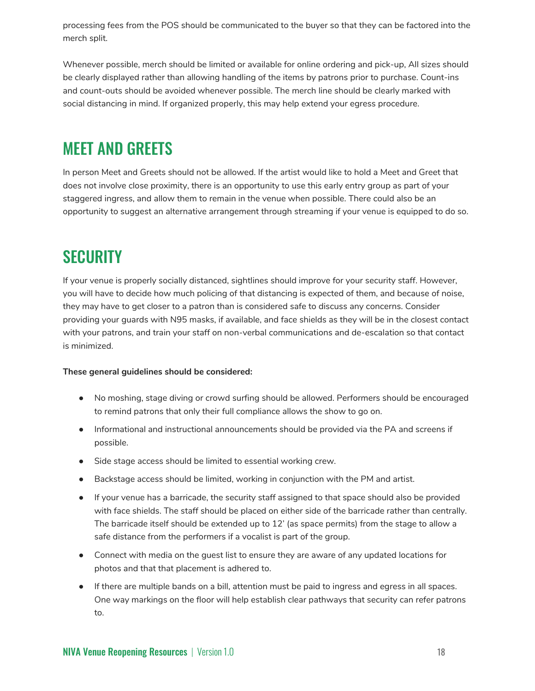processing fees from the POS should be communicated to the buyer so that they can be factored into the merch split.

Whenever possible, merch should be limited or available for online ordering and pick-up, All sizes should be clearly displayed rather than allowing handling of the items by patrons prior to purchase. Count-ins and count-outs should be avoided whenever possible. The merch line should be clearly marked with social distancing in mind. If organized properly, this may help extend your egress procedure.

#### <span id="page-17-0"></span>MEET AND GREETS

In person Meet and Greets should not be allowed. If the artist would like to hold a Meet and Greet that does not involve close proximity, there is an opportunity to use this early entry group as part of your staggered ingress, and allow them to remain in the venue when possible. There could also be an opportunity to suggest an alternative arrangement through streaming if your venue is equipped to do so.

## <span id="page-17-1"></span>**SECURITY**

If your venue is properly socially distanced, sightlines should improve for your security staff. However, you will have to decide how much policing of that distancing is expected of them, and because of noise, they may have to get closer to a patron than is considered safe to discuss any concerns. Consider providing your guards with N95 masks, if available, and face shields as they will be in the closest contact with your patrons, and train your staff on non-verbal communications and de-escalation so that contact is minimized.

#### **These general guidelines should be considered:**

- No moshing, stage diving or crowd surfing should be allowed. Performers should be encouraged to remind patrons that only their full compliance allows the show to go on.
- Informational and instructional announcements should be provided via the PA and screens if possible.
- Side stage access should be limited to essential working crew.
- Backstage access should be limited, working in conjunction with the PM and artist.
- If your venue has a barricade, the security staff assigned to that space should also be provided with face shields. The staff should be placed on either side of the barricade rather than centrally. The barricade itself should be extended up to 12' (as space permits) from the stage to allow a safe distance from the performers if a vocalist is part of the group.
- Connect with media on the guest list to ensure they are aware of any updated locations for photos and that that placement is adhered to.
- If there are multiple bands on a bill, attention must be paid to ingress and egress in all spaces. One way markings on the floor will help establish clear pathways that security can refer patrons to.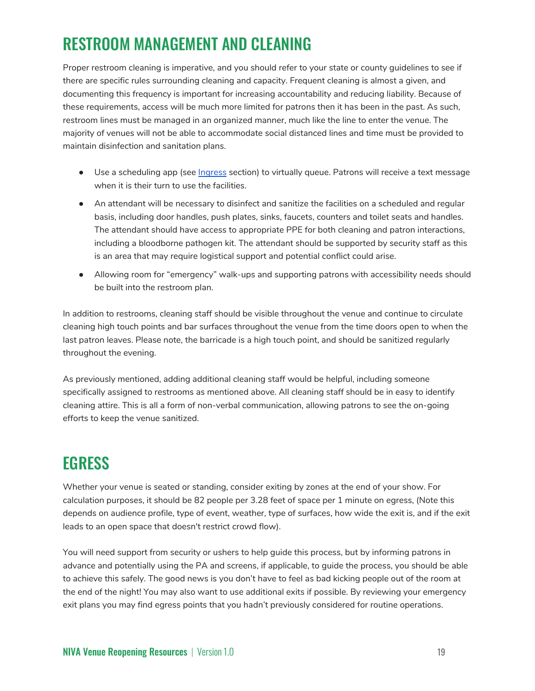# <span id="page-18-0"></span>RESTROOM MANAGEMENT AND CLEANING

Proper restroom cleaning is imperative, and you should refer to your state or county guidelines to see if there are specific rules surrounding cleaning and capacity. Frequent cleaning is almost a given, and documenting this frequency is important for increasing accountability and reducing liability. Because of these requirements, access will be much more limited for patrons then it has been in the past. As such, restroom lines must be managed in an organized manner, much like the line to enter the venue. The majority of venues will not be able to accommodate social distanced lines and time must be provided to maintain disinfection and sanitation plans.

- Use a scheduling app (see [Ingress](#page-12-1) section) to virtually queue. Patrons will receive a text message when it is their turn to use the facilities.
- An attendant will be necessary to disinfect and sanitize the facilities on a scheduled and regular basis, including door handles, push plates, sinks, faucets, counters and toilet seats and handles. The attendant should have access to appropriate PPE for both cleaning and patron interactions, including a bloodborne pathogen kit. The attendant should be supported by security staff as this is an area that may require logistical support and potential conflict could arise.
- Allowing room for "emergency" walk-ups and supporting patrons with accessibility needs should be built into the restroom plan.

In addition to restrooms, cleaning staff should be visible throughout the venue and continue to circulate cleaning high touch points and bar surfaces throughout the venue from the time doors open to when the last patron leaves. Please note, the barricade is a high touch point, and should be sanitized regularly throughout the evening.

As previously mentioned, adding additional cleaning staff would be helpful, including someone specifically assigned to restrooms as mentioned above. All cleaning staff should be in easy to identify cleaning attire. This is all a form of non-verbal communication, allowing patrons to see the on-going efforts to keep the venue sanitized.

## <span id="page-18-1"></span>EGRESS

Whether your venue is seated or standing, consider exiting by zones at the end of your show. For calculation purposes, it should be 82 people per 3.28 feet of space per 1 minute on egress, (Note this depends on audience profile, type of event, weather, type of surfaces, how wide the exit is, and if the exit leads to an open space that doesn't restrict crowd flow).

You will need support from security or ushers to help guide this process, but by informing patrons in advance and potentially using the PA and screens, if applicable, to guide the process, you should be able to achieve this safely. The good news is you don't have to feel as bad kicking people out of the room at the end of the night! You may also want to use additional exits if possible. By reviewing your emergency exit plans you may find egress points that you hadn't previously considered for routine operations.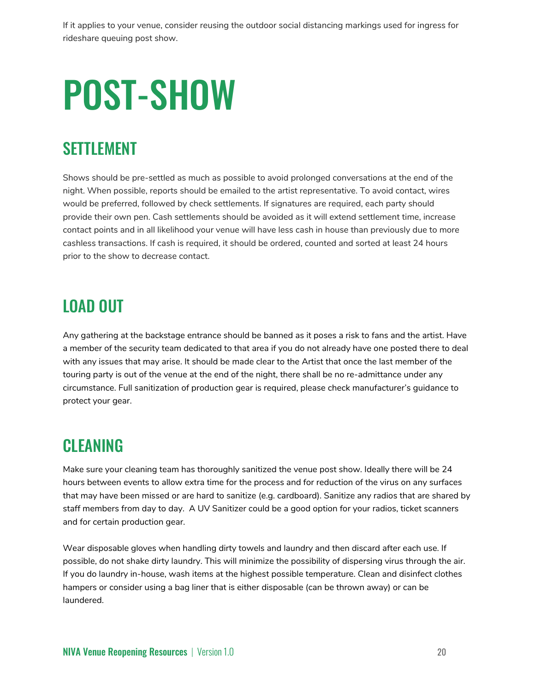If it applies to your venue, consider reusing the outdoor social distancing markings used for ingress for rideshare queuing post show.

# POST-SHOW

## <span id="page-19-0"></span>SETTLEMENT

Shows should be pre-settled as much as possible to avoid prolonged conversations at the end of the night. When possible, reports should be emailed to the artist representative. To avoid contact, wires would be preferred, followed by check settlements. If signatures are required, each party should provide their own pen. Cash settlements should be avoided as it will extend settlement time, increase contact points and in all likelihood your venue will have less cash in house than previously due to more cashless transactions. If cash is required, it should be ordered, counted and sorted at least 24 hours prior to the show to decrease contact.

## <span id="page-19-1"></span>LOAD OUT

Any gathering at the backstage entrance should be banned as it poses a risk to fans and the artist. Have a member of the security team dedicated to that area if you do not already have one posted there to deal with any issues that may arise. It should be made clear to the Artist that once the last member of the touring party is out of the venue at the end of the night, there shall be no re-admittance under any circumstance. Full sanitization of production gear is required, please check manufacturer's guidance to protect your gear.

#### <span id="page-19-2"></span>CLEANING

Make sure your cleaning team has thoroughly sanitized the venue post show. Ideally there will be 24 hours between events to allow extra time for the process and for reduction of the virus on any surfaces that may have been missed or are hard to sanitize (e.g. cardboard). Sanitize any radios that are shared by staff members from day to day. A UV Sanitizer could be a good option for your radios, ticket scanners and for certain production gear.

Wear disposable gloves when handling dirty towels and laundry and then discard after each use. If possible, do not shake dirty laundry. This will minimize the possibility of dispersing virus through the air. If you do laundry in-house, wash items at the highest possible temperature. Clean and disinfect clothes hampers or consider using a bag liner that is either disposable (can be thrown away) or can be laundered.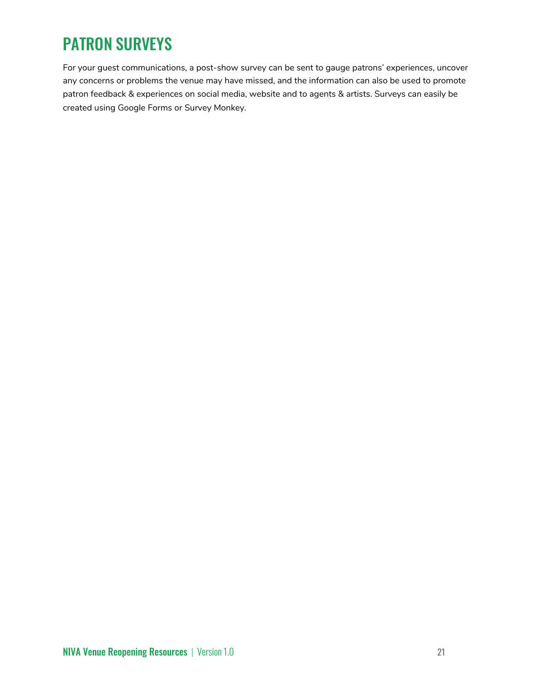# <span id="page-20-0"></span>PATRON SURVEYS

For your guest communications, a post-show survey can be sent to gauge patrons' experiences, uncover any concerns or problems the venue may have missed, and the information can also be used to promote patron feedback & experiences on social media, website and to agents & artists. Surveys can easily be created using Google Forms or Survey Monkey.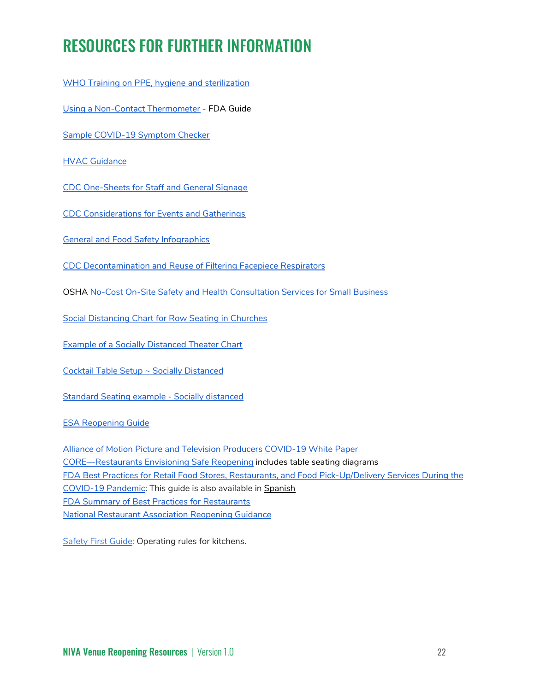# <span id="page-21-0"></span>RESOURCES FOR FURTHER INFORMATION

WHO Training on PPE, hygiene and [sterilization](https://www.who.int/emergencies/diseases/novel-coronavirus-2019/training/online-training)

Using a Non-Contact [Thermometer](https://www.fda.gov/medical-devices/general-hospital-devices-and-supplies/non-contact-infrared-thermometers) - FDA Guide

Sample [COVID-19](https://docs.google.com/forms/d/e/1FAIpQLSdgpBxWPHz6x2mOAO-QP_uDatmmK1AWDHLwl92SF9HwsUqIpg/viewform) Symptom Checker

HVAC [Guidance](https://www.ashrae.org/technical-resources/resources)

CDC [One-Sheets](https://www.cdc.gov/coronavirus/2019-ncov/communication/print-resources.html?Sort=Date%3A%3Adesc) for Staff and General Signage

CDC [Considerations](https://www.cdc.gov/coronavirus/2019-ncov/community/large-events/considerations-for-events-gatherings.html) for Events and Gatherings

General and Food Safety [Infographics](https://instituteforfoodsafety.cornell.edu/coronavirus-covid-19/infographics-and-posters/)

CDC [Decontamination](https://www.cdc.gov/coronavirus/2019-ncov/hcp/ppe-strategy/decontamination-reuse-respirators.html) and Reuse of Filtering Facepiece Respirators

OSHA No-Cost On-Site Safety and Health [Consultation](https://www.osha.gov/consultation) Services for Small Business

Social [Distancing](https://fwdioc.org/social-distancing-at-mass.pdf) Chart for Row Seating in Churches

Example of a Socially [Distanced](https://drive.google.com/file/d/1a9vZ3e4iyYKKAR12LS4ueqF67o0OsHpO/view?usp=sharing) Theater Chart

Cocktail Table Setup ~ Socially [Distanced](https://d3jt1cz8miaxw8.cloudfront.net/exports/2d/80c7c1ea-e3c4-4836-969d-60d54ba7c89b/79012770-covid_seating_copy-first_floor-first_design-20200601202931.jpg)

Standard Seating example - Socially [distanced](https://d3jt1cz8miaxw8.cloudfront.net/exports/2d/55180a2e-2b5e-4a6c-b286-7ab0f922dc07/79002414-covid_seating-first_floor-first_design-20200529205923.jpg)

ESA [Reopening](https://www.eventsafetyalliance.org/esa-reopening-guide) Guide

Alliance of Motion Picture and Television Producers [COVID-19](https://pmcdeadline2.files.wordpress.com/2020/06/iwlmsc-task-force-white-paper-6-1-20.pdf) White Paper [CORE—Restaurants](https://drive.google.com/open?id=1-tGli0qJvnBMfvuvLZSZBg0e6HreKEw2) Envisioning Safe Reopening includes table seating diagrams FDA Best Practices for Retail Food Stores, Restaurants, and Food [Pick-Up/Delivery](https://www.fda.gov/media/136811/download) Services During the [COVID-19](https://www.fda.gov/media/136811/download) Pandemi[c:](https://www.fda.gov/media/136811/download) This guide is also available in [Spanish](https://www.fda.gov/food/food-safety-during-emergencies/practicas-recomendadas-para-tiendas-de-alimentos-minoristas-restaurantes-y-servicios-para-llevar-y) FDA Summary of Best Practices for [Restaurants](https://www.fda.gov/media/136812/download) National Restaurant [Association](https://drive.google.com/open?id=1LBAvtqsC5FVrDXIpN3ocgchkPGeKTm-V) Reopening Guidance

[Safety](http://assets.aspeninstitute.org/content/uploads/2020/05/Safety-First-Serving-Food-and-Protecting-People-During-Covid-19.pdf?_ga=2.130213704.694963881.1589202258-28538854.1586193305) First Guide: Operating rules for kitchens.